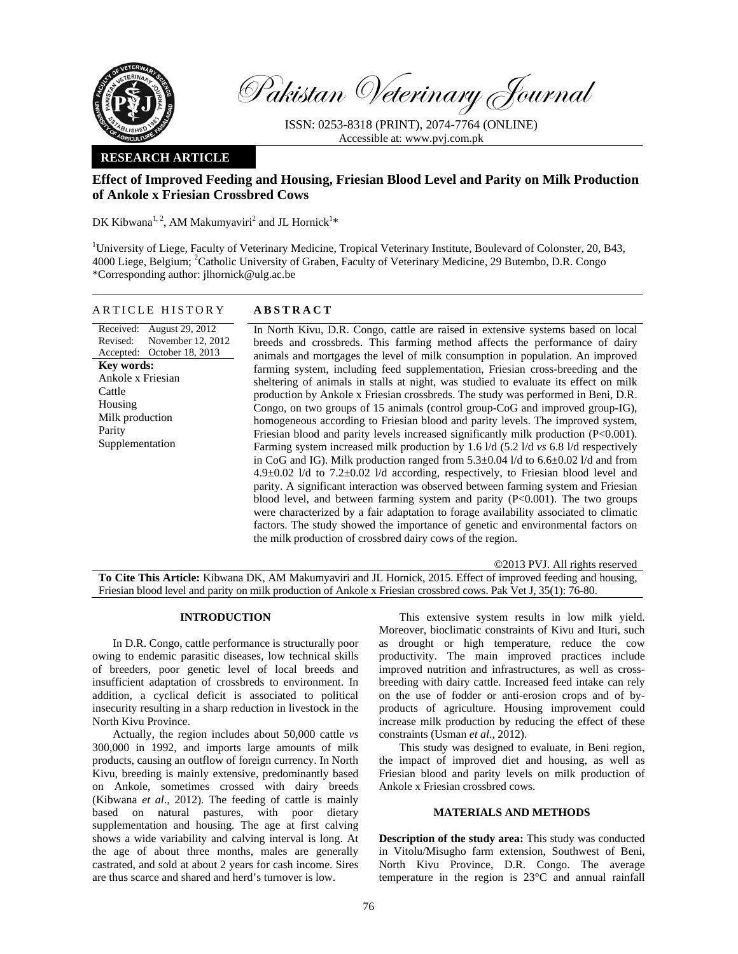

Pakistan Veterinary Journal

ISSN: 0253-8318 (PRINT), 2074-7764 (ONLINE) Accessible at: www.pvj.com.pk

# **RESEARCH ARTICLE**

# **Effect of Improved Feeding and Housing, Friesian Blood Level and Parity on Milk Production of Ankole x Friesian Crossbred Cows**

DK Kibwana<sup>1, 2</sup>, AM Makumyaviri<sup>2</sup> and JL Hornick<sup>1\*</sup>

<sup>1</sup>University of Liege, Faculty of Veterinary Medicine, Tropical Veterinary Institute, Boulevard of Colonster, 20, B43, 4000 Liege, Belgium; <sup>2</sup>Catholic University of Graben, Faculty of Veterinary Medicine, 29 Butembo, D.R. Congo \*Corresponding author: jlhornick@ulg.ac.be

### ARTICLE HISTORY **ABSTRACT**

Received: August 29, 2012 Revised: Accepted: October 18, 2013 November 12, 2012 **Key words:**  Ankole x Friesian Cattle Housing Milk production Parity Supplementation

 In North Kivu, D.R. Congo, cattle are raised in extensive systems based on local breeds and crossbreds. This farming method affects the performance of dairy animals and mortgages the level of milk consumption in population. An improved farming system, including feed supplementation, Friesian cross-breeding and the sheltering of animals in stalls at night, was studied to evaluate its effect on milk production by Ankole x Friesian crossbreds. The study was performed in Beni, D.R. Congo, on two groups of 15 animals (control group-CoG and improved group-IG), homogeneous according to Friesian blood and parity levels. The improved system, Friesian blood and parity levels increased significantly milk production (P<0.001). Farming system increased milk production by 1.6 l/d (5.2 l/d *vs* 6.8 l/d respectively in CoG and IG). Milk production ranged from 5.3±0.04 l/d to 6.6±0.02 l/d and from  $4.9\pm0.02$  l/d to  $7.2\pm0.02$  l/d according, respectively, to Friesian blood level and parity. A significant interaction was observed between farming system and Friesian blood level, and between farming system and parity  $(P<0.001)$ . The two groups were characterized by a fair adaptation to forage availability associated to climatic factors. The study showed the importance of genetic and environmental factors on the milk production of crossbred dairy cows of the region.

©2013 PVJ. All rights reserved **To Cite This Article:** Kibwana DK, AM Makumyaviri and JL Hornick, 2015. Effect of improved feeding and housing, Friesian blood level and parity on milk production of Ankole x Friesian crossbred cows. Pak Vet J, 35(1): 76-80.

## **INTRODUCTION**

In D.R. Congo, cattle performance is structurally poor owing to endemic parasitic diseases, low technical skills of breeders, poor genetic level of local breeds and insufficient adaptation of crossbreds to environment. In addition, a cyclical deficit is associated to political insecurity resulting in a sharp reduction in livestock in the North Kivu Province.

Actually, the region includes about 50,000 cattle *vs* 300,000 in 1992, and imports large amounts of milk products, causing an outflow of foreign currency. In North Kivu, breeding is mainly extensive, predominantly based on Ankole, sometimes crossed with dairy breeds (Kibwana *et al*., 2012). The feeding of cattle is mainly based on natural pastures, with poor dietary supplementation and housing. The age at first calving shows a wide variability and calving interval is long. At the age of about three months, males are generally castrated, and sold at about 2 years for cash income. Sires are thus scarce and shared and herd's turnover is low.

This extensive system results in low milk yield. Moreover, bioclimatic constraints of Kivu and Ituri, such as drought or high temperature, reduce the cow productivity. The main improved practices include improved nutrition and infrastructures, as well as crossbreeding with dairy cattle. Increased feed intake can rely on the use of fodder or anti-erosion crops and of byproducts of agriculture. Housing improvement could increase milk production by reducing the effect of these constraints (Usman *et al*., 2012).

This study was designed to evaluate, in Beni region, the impact of improved diet and housing, as well as Friesian blood and parity levels on milk production of Ankole x Friesian crossbred cows.

## **MATERIALS AND METHODS**

**Description of the study area:** This study was conducted in Vitolu/Misugho farm extension, Southwest of Beni, North Kivu Province, D.R. Congo. The average temperature in the region is 23°C and annual rainfall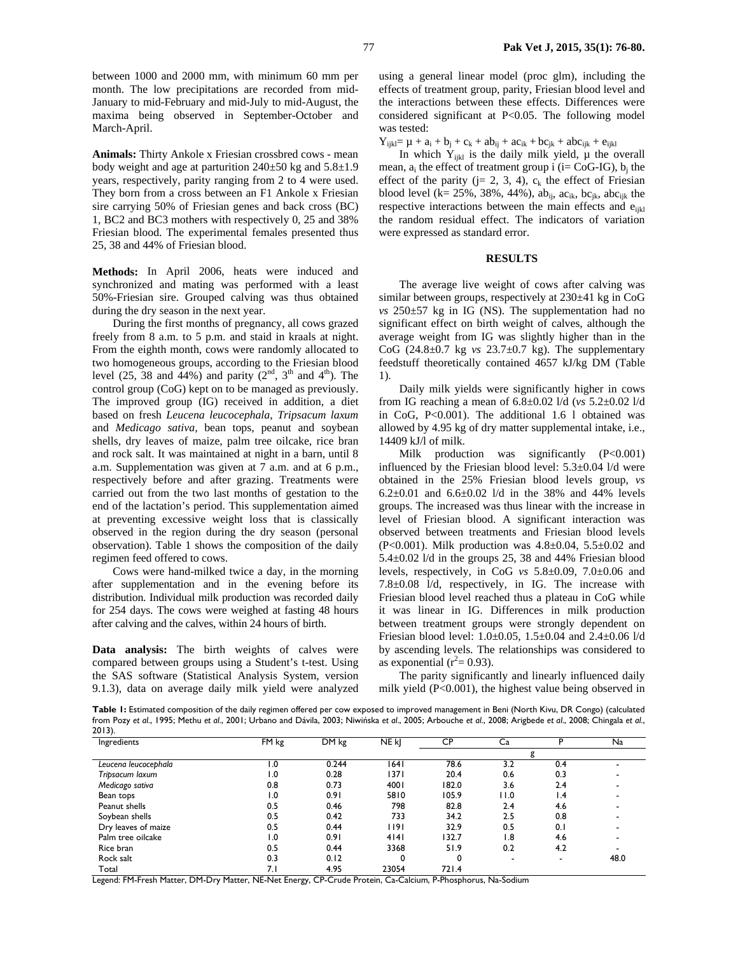between 1000 and 2000 mm, with minimum 60 mm per month. The low precipitations are recorded from mid-January to mid-February and mid-July to mid-August, the maxima being observed in September-October and March-April.

**Animals:** Thirty Ankole x Friesian crossbred cows - mean body weight and age at parturition  $240\pm50$  kg and  $5.8\pm1.9$ years, respectively, parity ranging from 2 to 4 were used. They born from a cross between an F1 Ankole x Friesian sire carrying 50% of Friesian genes and back cross (BC) 1, BC2 and BC3 mothers with respectively 0, 25 and 38% Friesian blood. The experimental females presented thus 25, 38 and 44% of Friesian blood.

**Methods:** In April 2006, heats were induced and synchronized and mating was performed with a least 50%-Friesian sire. Grouped calving was thus obtained during the dry season in the next year.

During the first months of pregnancy, all cows grazed freely from 8 a.m. to 5 p.m. and staid in kraals at night. From the eighth month, cows were randomly allocated to two homogeneous groups, according to the Friesian blood level (25, 38 and 44%) and parity ( $2<sup>nd</sup>$ ,  $3<sup>th</sup>$  and  $4<sup>th</sup>$ ). The control group (CoG) kept on to be managed as previously. The improved group (IG) received in addition, a diet based on fresh *Leucena leucocephala*, *Tripsacum laxum* and *Medicago sativa,* bean tops, peanut and soybean shells, dry leaves of maize, palm tree oilcake, rice bran and rock salt. It was maintained at night in a barn, until 8 a.m. Supplementation was given at 7 a.m. and at 6 p.m., respectively before and after grazing. Treatments were carried out from the two last months of gestation to the end of the lactation's period. This supplementation aimed at preventing excessive weight loss that is classically observed in the region during the dry season (personal observation). Table 1 shows the composition of the daily regimen feed offered to cows.

Cows were hand-milked twice a day, in the morning after supplementation and in the evening before its distribution. Individual milk production was recorded daily for 254 days. The cows were weighed at fasting 48 hours after calving and the calves, within 24 hours of birth.

**Data analysis:** The birth weights of calves were compared between groups using a Student's t-test. Using the SAS software (Statistical Analysis System, version 9.1.3), data on average daily milk yield were analyzed

using a general linear model (proc glm), including the effects of treatment group, parity, Friesian blood level and the interactions between these effects. Differences were considered significant at P<0.05. The following model was tested:

 $Y_{ijkl} = \mu + a_i + b_j + c_k + ab_{ij} + ac_{ik} + bc_{jk} + abc_{ijk} + e_{ijkl}$ 

In which  $Y_{ijkl}$  is the daily milk yield,  $\mu$  the overall mean,  $a_i$  the effect of treatment group i (i= CoG-IG),  $b_i$  the effect of the parity ( $j = 2, 3, 4$ ),  $c_k$  the effect of Friesian blood level (k= 25%, 38%, 44%), ab<sub>ii</sub>, ac<sub>ik</sub>, bc<sub>ik</sub>, abc<sub>iik</sub> the respective interactions between the main effects and  $e_{ijkl}$ the random residual effect. The indicators of variation were expressed as standard error.

### **RESULTS**

The average live weight of cows after calving was similar between groups, respectively at 230±41 kg in CoG *vs* 250±57 kg in IG (NS). The supplementation had no significant effect on birth weight of calves, although the average weight from IG was slightly higher than in the CoG (24.8±0.7 kg *vs* 23.7±0.7 kg). The supplementary feedstuff theoretically contained 4657 kJ/kg DM (Table 1).

Daily milk yields were significantly higher in cows from IG reaching a mean of 6.8±0.02 l/d (*vs* 5.2±0.02 l/d in CoG, P<0.001). The additional 1.6 l obtained was allowed by 4.95 kg of dry matter supplemental intake, i.e., 14409 kJ/l of milk.

Milk production was significantly  $(P<0.001)$ influenced by the Friesian blood level:  $5.3\pm0.04$  l/d were obtained in the 25% Friesian blood levels group, *vs* 6.2 $\pm$ 0.01 and 6.6 $\pm$ 0.02 l/d in the 38% and 44% levels groups. The increased was thus linear with the increase in level of Friesian blood. A significant interaction was observed between treatments and Friesian blood levels (P<0.001). Milk production was  $4.8 \pm 0.04$ ,  $5.5 \pm 0.02$  and  $5.4\pm0.02$  l/d in the groups 25, 38 and 44% Friesian blood levels, respectively, in CoG *vs* 5.8±0.09, 7.0±0.06 and 7.8±0.08 l/d, respectively, in IG. The increase with Friesian blood level reached thus a plateau in CoG while it was linear in IG. Differences in milk production between treatment groups were strongly dependent on Friesian blood level: 1.0±0.05, 1.5±0.04 and 2.4±0.06 l/d by ascending levels. The relationships was considered to as exponential ( $r^2$  = 0.93).

The parity significantly and linearly influenced daily milk yield (P<0.001), the highest value being observed in

Table 1: Estimated composition of the daily regimen offered per cow exposed to improved management in Beni (North Kivu, DR Congo) (calculated from Pozy *et al*., 1995; Methu *et al*., 2001; Urbano and Dávila, 2003; Niwińska *et al*., 2005; Arbouche *et al*., 2008; Arigbede *et al*., 2008; Chingala *et al*., 2013).

| Ingredients          | FM kg            | DM kg | NE <sub>k</sub> | CP    | Ca   | D                        | Na   |
|----------------------|------------------|-------|-----------------|-------|------|--------------------------|------|
|                      |                  |       |                 |       | g    |                          |      |
| Leucena leucocephala | 0. ا             | 0.244 | 1641            | 78.6  | 3.2  | 0.4                      |      |
| Tripsacum laxum      | 0. ا             | 0.28  | 1371            | 20.4  | 0.6  | 0.3                      |      |
| Medicago sativa      | 0.8              | 0.73  | 4001            | 182.0 | 3.6  | 2.4                      |      |
| Bean tops            | $\overline{0}$ . | 0.91  | 5810            | 105.9 | 11.0 | $\mathsf{I}$ .4          |      |
| Peanut shells        | 0.5              | 0.46  | 798             | 82.8  | 2.4  | 4.6                      |      |
| Soybean shells       | 0.5              | 0.42  | 733             | 34.2  | 2.5  | 0.8                      |      |
| Dry leaves of maize  | 0.5              | 0.44  | 1191            | 32.9  | 0.5  | 0.1                      |      |
| Palm tree oilcake    | 0. ا             | 0.91  | 4 4             | 32.7  | 1.8  | 4.6                      |      |
| Rice bran            | 0.5              | 0.44  | 3368            | 51.9  | 0.2  | 4.2                      |      |
| Rock salt            | 0.3              | 0.12  | 0               | 0     |      | $\overline{\phantom{a}}$ | 48.0 |
| Total                | 7.1              | 4.95  | 23054           | 721.4 |      |                          |      |

Legend: FM-Fresh Matter, DM-Dry Matter, NE-Net Energy, CP-Crude Protein, Ca-Calcium, P-Phosphorus, Na-Sodium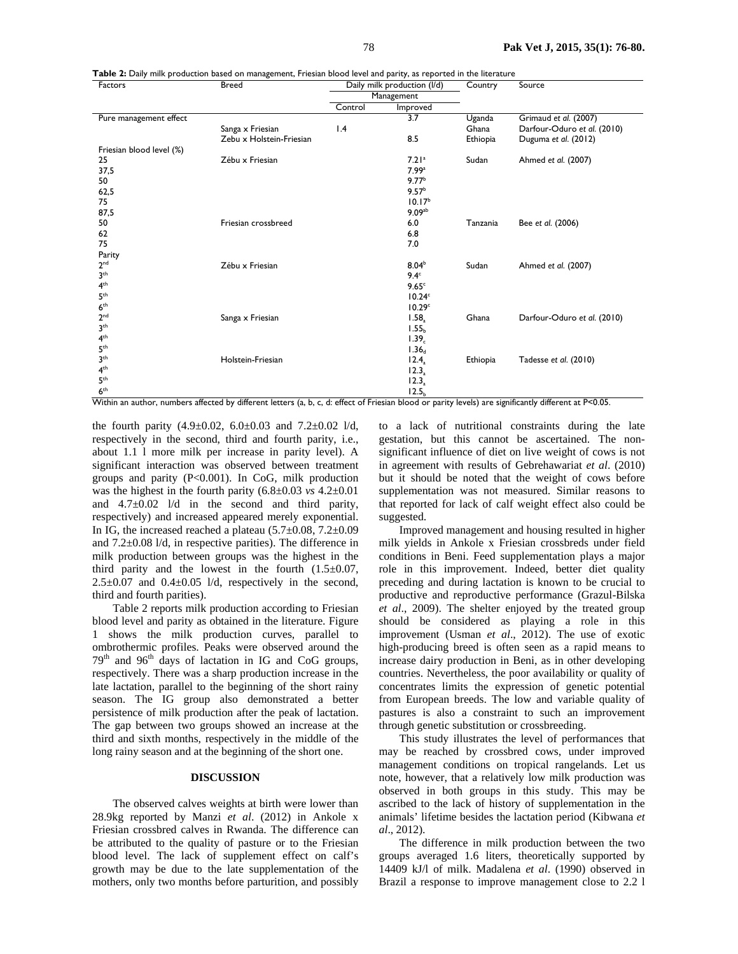**Table 2:** Daily milk production based on management, Friesian blood level and parity, as reported in the literature

| Factors                  | <b>Breed</b>                                                                                                                                           | Daily milk production (I/d) |                    | Country  | Source                      |  |
|--------------------------|--------------------------------------------------------------------------------------------------------------------------------------------------------|-----------------------------|--------------------|----------|-----------------------------|--|
|                          |                                                                                                                                                        | Management                  |                    |          |                             |  |
|                          |                                                                                                                                                        | Control                     | Improved           |          |                             |  |
| Pure management effect   |                                                                                                                                                        |                             | 3.7                | Uganda   | Grimaud et al. (2007)       |  |
|                          | Sanga x Friesian                                                                                                                                       | 1.4                         |                    | Ghana    | Darfour-Oduro et al. (2010) |  |
|                          | Zebu x Holstein-Friesian                                                                                                                               |                             | 8.5                | Ethiopia | Duguma et al. (2012)        |  |
| Friesian blood level (%) |                                                                                                                                                        |                             |                    |          |                             |  |
| 25                       | Zébu x Friesian                                                                                                                                        |                             | 7.21a              | Sudan    | Ahmed et al. (2007)         |  |
| 37,5                     |                                                                                                                                                        |                             | 7.99a              |          |                             |  |
| 50                       |                                                                                                                                                        |                             | 9.77 <sup>b</sup>  |          |                             |  |
| 62,5                     |                                                                                                                                                        |                             | 9.57 <sup>b</sup>  |          |                             |  |
| 75                       |                                                                                                                                                        |                             | 10.17 <sup>b</sup> |          |                             |  |
| 87,5                     |                                                                                                                                                        |                             | 9.09 <sup>ab</sup> |          |                             |  |
| 50                       | Friesian crossbreed                                                                                                                                    |                             | 6.0                | Tanzania | Bee et al. (2006)           |  |
| 62                       |                                                                                                                                                        |                             | 6.8                |          |                             |  |
| 75                       |                                                                                                                                                        |                             | 7.0                |          |                             |  |
| Parity                   |                                                                                                                                                        |                             |                    |          |                             |  |
| 2 <sup>nd</sup>          | Zébu x Friesian                                                                                                                                        |                             | 8.04 <sup>b</sup>  | Sudan    | Ahmed et al. (2007)         |  |
| 3 <sup>th</sup>          |                                                                                                                                                        |                             | 9.4 <sup>c</sup>   |          |                             |  |
| 4 <sup>th</sup>          |                                                                                                                                                        |                             | 9.65 <sup>c</sup>  |          |                             |  |
| 5 <sup>th</sup>          |                                                                                                                                                        |                             | 10.24 <sup>c</sup> |          |                             |  |
| 6 <sup>th</sup>          |                                                                                                                                                        |                             | 10.29 <sup>c</sup> |          |                             |  |
| 2 <sup>nd</sup>          | Sanga x Friesian                                                                                                                                       |                             | 1.58 <sub>2</sub>  | Ghana    | Darfour-Oduro et al. (2010) |  |
| 3 <sup>th</sup>          |                                                                                                                                                        |                             | 1.55 <sub>b</sub>  |          |                             |  |
| 4 <sup>th</sup>          |                                                                                                                                                        |                             | 1.39 <sub>c</sub>  |          |                             |  |
| 5 <sup>th</sup>          |                                                                                                                                                        |                             | 1.36 <sub>d</sub>  |          |                             |  |
| 3 <sup>th</sup>          | Holstein-Friesian                                                                                                                                      |                             | 12.4               | Ethiopia | Tadesse et al. (2010)       |  |
| 4 <sup>th</sup>          |                                                                                                                                                        |                             | $12.3_a$           |          |                             |  |
| 5 <sup>th</sup>          |                                                                                                                                                        |                             | 12.3 <sub>a</sub>  |          |                             |  |
| 6 <sup>th</sup>          |                                                                                                                                                        |                             | 12.5 <sub>b</sub>  |          |                             |  |
|                          | Within an author, numbers affected by different letters (a, b, c, d: effect of Friesian blood or parity levels) are significantly different at P<0.05. |                             |                    |          |                             |  |

the fourth parity  $(4.9 \pm 0.02, 6.0 \pm 0.03, 0.01, 7.2 \pm 0.02, 1/d)$ respectively in the second, third and fourth parity, i.e., about 1.1 l more milk per increase in parity level). A significant interaction was observed between treatment groups and parity (P<0.001). In CoG, milk production was the highest in the fourth parity (6.8±0.03 *vs* 4.2±0.01 and  $4.7\pm0.02$  l/d in the second and third parity, respectively) and increased appeared merely exponential. In IG, the increased reached a plateau (5.7±0.08, 7.2±0.09 and 7.2±0.08 l/d, in respective parities). The difference in milk production between groups was the highest in the third parity and the lowest in the fourth  $(1.5\pm0.07,$  $2.5\pm0.07$  and  $0.4\pm0.05$  l/d, respectively in the second, third and fourth parities).

Table 2 reports milk production according to Friesian blood level and parity as obtained in the literature. Figure 1 shows the milk production curves, parallel to ombrothermic profiles. Peaks were observed around the 79<sup>th</sup> and 96<sup>th</sup> days of lactation in IG and CoG groups, respectively. There was a sharp production increase in the late lactation, parallel to the beginning of the short rainy season. The IG group also demonstrated a better persistence of milk production after the peak of lactation. The gap between two groups showed an increase at the third and sixth months, respectively in the middle of the long rainy season and at the beginning of the short one.

#### **DISCUSSION**

The observed calves weights at birth were lower than 28.9kg reported by Manzi *et al*. (2012) in Ankole x Friesian crossbred calves in Rwanda. The difference can be attributed to the quality of pasture or to the Friesian blood level. The lack of supplement effect on calf's growth may be due to the late supplementation of the mothers, only two months before parturition, and possibly

to a lack of nutritional constraints during the late gestation, but this cannot be ascertained. The nonsignificant influence of diet on live weight of cows is not in agreement with results of Gebrehawariat *et al*. (2010) but it should be noted that the weight of cows before supplementation was not measured. Similar reasons to that reported for lack of calf weight effect also could be suggested.

Improved management and housing resulted in higher milk yields in Ankole x Friesian crossbreds under field conditions in Beni. Feed supplementation plays a major role in this improvement. Indeed, better diet quality preceding and during lactation is known to be crucial to productive and reproductive performance (Grazul-Bilska *et al*., 2009). The shelter enjoyed by the treated group should be considered as playing a role in this improvement (Usman *et al*., 2012). The use of exotic high-producing breed is often seen as a rapid means to increase dairy production in Beni, as in other developing countries. Nevertheless, the poor availability or quality of concentrates limits the expression of genetic potential from European breeds. The low and variable quality of pastures is also a constraint to such an improvement through genetic substitution or crossbreeding.

This study illustrates the level of performances that may be reached by crossbred cows, under improved management conditions on tropical rangelands. Let us note, however, that a relatively low milk production was observed in both groups in this study. This may be ascribed to the lack of history of supplementation in the animals' lifetime besides the lactation period (Kibwana *et al*., 2012).

The difference in milk production between the two groups averaged 1.6 liters, theoretically supported by 14409 kJ/l of milk. Madalena *et al*. (1990) observed in Brazil a response to improve management close to 2.2 l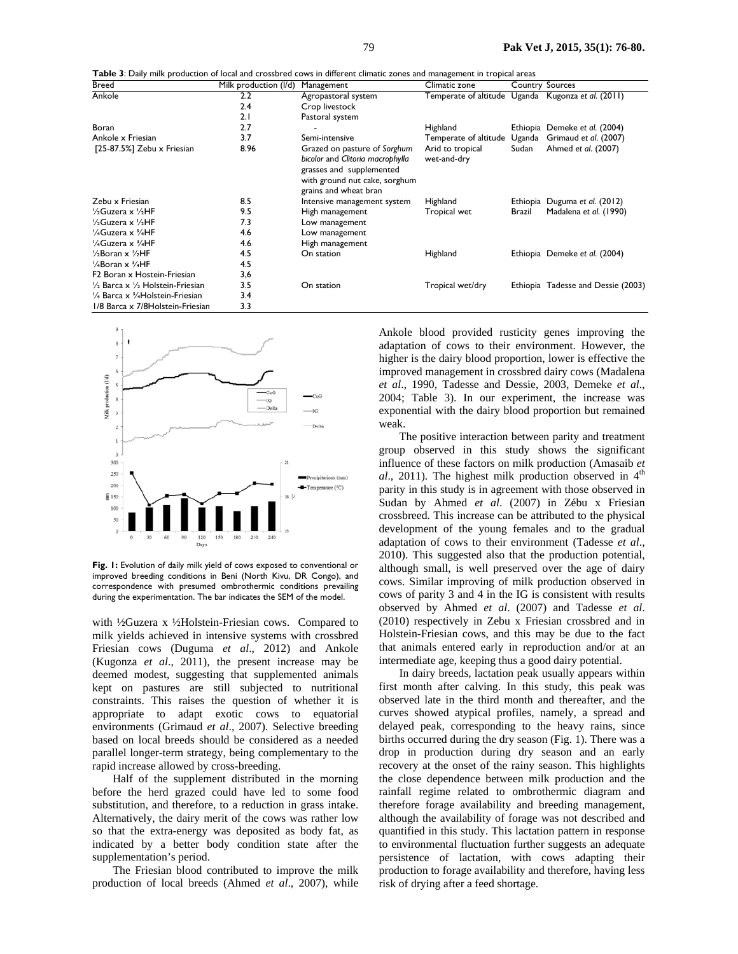**Table 3**: Daily milk production of local and crossbred cows in different climatic zones and management in tropical areas

| <b>Breed</b>                                          | Milk production (I/d) | Management                                                                                                                                             | Climatic zone                   |        | <b>Country Sources</b>                             |
|-------------------------------------------------------|-----------------------|--------------------------------------------------------------------------------------------------------------------------------------------------------|---------------------------------|--------|----------------------------------------------------|
| Ankole                                                | $2.2\phantom{0}$      | Agropastoral system                                                                                                                                    |                                 |        | Temperate of altitude Uganda Kugonza et al. (2011) |
|                                                       | 2.4                   | Crop livestock                                                                                                                                         |                                 |        |                                                    |
|                                                       | 2.1                   | Pastoral system                                                                                                                                        |                                 |        |                                                    |
| Boran                                                 | 2.7                   |                                                                                                                                                        | Highland                        |        | Ethiopia Demeke et al. (2004)                      |
| Ankole x Friesian                                     | 3.7                   | Semi-intensive                                                                                                                                         | Temperate of altitude           | Uganda | Grimaud et al. (2007)                              |
| [25-87.5%] Zebu x Friesian                            | 8.96                  | Grazed on pasture of Sorghum<br>bicolor and Clitoria macrophylla<br>grasses and supplemented<br>with ground nut cake, sorghum<br>grains and wheat bran | Arid to tropical<br>wet-and-dry | Sudan  | Ahmed et al. (2007)                                |
| Zebu x Friesian                                       | 8.5                   | Intensive management system                                                                                                                            | Highland                        |        | Ethiopia Duguma et al. (2012)                      |
| $\frac{1}{2}$ Guzera x $\frac{1}{2}$ HF               | 9.5                   | High management                                                                                                                                        | Tropical wet                    | Brazil | Madalena et al. (1990)                             |
| $\frac{1}{2}$ Guzera x $\frac{1}{2}$ HF               | 7.3                   | Low management                                                                                                                                         |                                 |        |                                                    |
| $\frac{1}{4}$ Guzera x $\frac{3}{4}$ HF               | 4.6                   | Low management                                                                                                                                         |                                 |        |                                                    |
| 1/4Guzera x 3/4HF                                     | 4.6                   | High management                                                                                                                                        |                                 |        |                                                    |
| $\frac{1}{2}$ Boran x $\frac{1}{2}$ HF                | 4.5                   | On station                                                                                                                                             | Highland                        |        | Ethiopia Demeke et al. (2004)                      |
| $\frac{1}{4}$ Boran x $\frac{3}{4}$ HF                | 4.5                   |                                                                                                                                                        |                                 |        |                                                    |
| F2 Boran x Hostein-Friesian                           | 3,6                   |                                                                                                                                                        |                                 |        |                                                    |
| $\frac{1}{2}$ Barca x $\frac{1}{2}$ Holstein-Friesian | 3.5                   | On station                                                                                                                                             | Tropical wet/dry                |        | Ethiopia Tadesse and Dessie (2003)                 |
| $\frac{1}{4}$ Barca x $\frac{3}{4}$ Holstein-Friesian | 3.4                   |                                                                                                                                                        |                                 |        |                                                    |
| 1/8 Barca x 7/8 Holstein-Friesian                     | 3.3                   |                                                                                                                                                        |                                 |        |                                                    |



**Fig. 1:** Evolution of daily milk yield of cows exposed to conventional or improved breeding conditions in Beni (North Kivu, DR Congo), and correspondence with presumed ombrothermic conditions prevailing during the experimentation. The bar indicates the SEM of the model.

with ½Guzera x ½Holstein-Friesian cows. Compared to milk yields achieved in intensive systems with crossbred Friesian cows (Duguma *et al*., 2012) and Ankole (Kugonza *et al*., 2011), the present increase may be deemed modest, suggesting that supplemented animals kept on pastures are still subjected to nutritional constraints. This raises the question of whether it is appropriate to adapt exotic cows to equatorial environments (Grimaud *et al*., 2007). Selective breeding based on local breeds should be considered as a needed parallel longer-term strategy, being complementary to the rapid increase allowed by cross-breeding.

Half of the supplement distributed in the morning before the herd grazed could have led to some food substitution, and therefore, to a reduction in grass intake. Alternatively, the dairy merit of the cows was rather low so that the extra-energy was deposited as body fat, as indicated by a better body condition state after the supplementation's period.

The Friesian blood contributed to improve the milk production of local breeds (Ahmed *et al*., 2007), while Ankole blood provided rusticity genes improving the adaptation of cows to their environment. However, the higher is the dairy blood proportion, lower is effective the improved management in crossbred dairy cows (Madalena *et al*., 1990, Tadesse and Dessie, 2003, Demeke *et al*., 2004; Table 3). In our experiment, the increase was exponential with the dairy blood proportion but remained weak.

The positive interaction between parity and treatment group observed in this study shows the significant influence of these factors on milk production (Amasaib *et*   $al$ , 2011). The highest milk production observed in  $4<sup>th</sup>$ parity in this study is in agreement with those observed in Sudan by Ahmed *et al*. (2007) in Zébu x Friesian crossbreed. This increase can be attributed to the physical development of the young females and to the gradual adaptation of cows to their environment (Tadesse *et al*., 2010). This suggested also that the production potential, although small, is well preserved over the age of dairy cows. Similar improving of milk production observed in cows of parity 3 and 4 in the IG is consistent with results observed by Ahmed *et al*. (2007) and Tadesse *et al*. (2010) respectively in Zebu x Friesian crossbred and in Holstein-Friesian cows, and this may be due to the fact that animals entered early in reproduction and/or at an intermediate age, keeping thus a good dairy potential.

In dairy breeds, lactation peak usually appears within first month after calving. In this study, this peak was observed late in the third month and thereafter, and the curves showed atypical profiles, namely, a spread and delayed peak, corresponding to the heavy rains, since births occurred during the dry season (Fig. 1). There was a drop in production during dry season and an early recovery at the onset of the rainy season. This highlights the close dependence between milk production and the rainfall regime related to ombrothermic diagram and therefore forage availability and breeding management, although the availability of forage was not described and quantified in this study. This lactation pattern in response to environmental fluctuation further suggests an adequate persistence of lactation, with cows adapting their production to forage availability and therefore, having less risk of drying after a feed shortage.